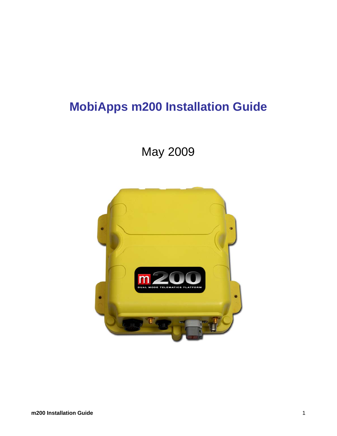# **MobiApps m200 Installation Guide**

# May 2009

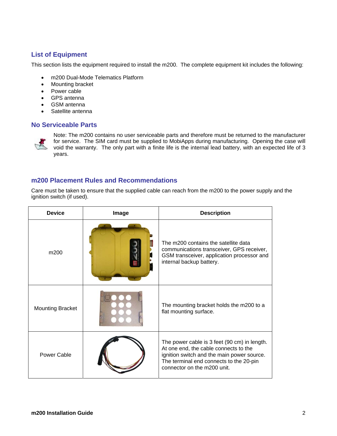## **List of Equipment**

This section lists the equipment required to install the m200. The complete equipment kit includes the following:

- m200 Dual-Mode Telematics Platform
- Mounting bracket
- Power cable
- GPS antenna
- GSM antenna
- Satellite antenna

## **No Serviceable Parts**



Note: The m200 contains no user serviceable parts and therefore must be returned to the manufacturer for service. The SIM card must be supplied to MobiApps during manufacturing. Opening the case will void the warranty. The only part with a finite life is the internal lead battery, with an expected life of 3 years.

## **m200 Placement Rules and Recommendations**

Care must be taken to ensure that the supplied cable can reach from the m200 to the power supply and the ignition switch (if used).

| <b>Device</b>           | Image | <b>Description</b>                                                                                                                                                                                            |
|-------------------------|-------|---------------------------------------------------------------------------------------------------------------------------------------------------------------------------------------------------------------|
| m200                    |       | The m200 contains the satellite data<br>communications transceiver, GPS receiver,<br>GSM transceiver, application processor and<br>internal backup battery.                                                   |
| <b>Mounting Bracket</b> |       | The mounting bracket holds the m200 to a<br>flat mounting surface.                                                                                                                                            |
| Power Cable             |       | The power cable is 3 feet (90 cm) in length.<br>At one end, the cable connects to the<br>ignition switch and the main power source.<br>The terminal end connects to the 20-pin<br>connector on the m200 unit. |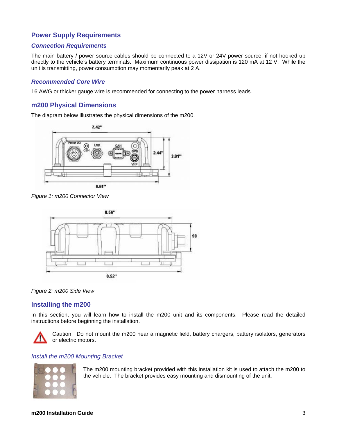## **Power Supply Requirements**

#### *Connection Requirements*

The main battery / power source cables should be connected to a 12V or 24V power source, if not hooked up directly to the vehicle's battery terminals. Maximum continuous power dissipation is 120 mA at 12 V. While the unit is transmitting, power consumption may momentarily peak at 2 A.

#### *Recommended Core Wire*

16 AWG or thicker gauge wire is recommended for connecting to the power harness leads.

## **m200 Physical Dimensions**

The diagram below illustrates the physical dimensions of the m200.



*Figure 1: m200 Connector View* 



#### *Figure 2: m200 Side View*

### **Installing the m200**

In this section, you will learn how to install the m200 unit and its components. Please read the detailed instructions before beginning the installation.



Caution! Do not mount the m200 near a magnetic field, battery chargers, battery isolators, generators or electric motors.

## *Install the m200 Mounting Bracket*



The m200 mounting bracket provided with this installation kit is used to attach the m200 to the vehicle. The bracket provides easy mounting and dismounting of the unit.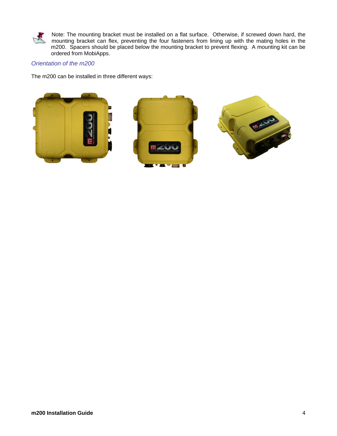

Note: The mounting bracket must be installed on a flat surface. Otherwise, if screwed down hard, the mounting bracket can flex, preventing the four fasteners from lining up with the mating holes in the m200. Spacers should be placed below the mounting bracket to prevent flexing. A mounting kit can be ordered from MobiApps.

## *Orientation of the m200*

The m200 can be installed in three different ways:





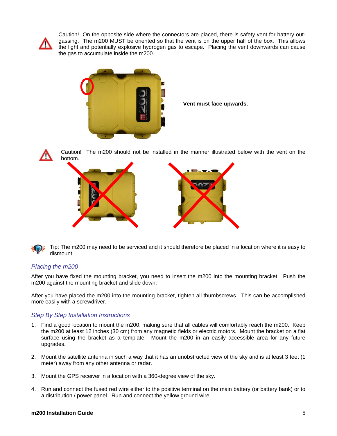

Caution! On the opposite side where the connectors are placed, there is safety vent for battery outgassing. The m200 MUST be oriented so that the vent is on the upper half of the box. This allows the light and potentially explosive hydrogen gas to escape. Placing the vent downwards can cause the gas to accumulate inside the m200.



**Vent must face upwards.** 



Caution! The m200 should not be installed in the manner illustrated below with the vent on the bottom.



Tip: The m200 may need to be serviced and it should therefore be placed in a location where it is easy to dismount.

### *Placing the m200*

After you have fixed the mounting bracket, you need to insert the m200 into the mounting bracket. Push the m200 against the mounting bracket and slide down.

After you have placed the m200 into the mounting bracket, tighten all thumbscrews. This can be accomplished more easily with a screwdriver.

### *Step By Step Installation Instructions*

- 1. Find a good location to mount the m200, making sure that all cables will comfortably reach the m200. Keep the m200 at least 12 inches (30 cm) from any magnetic fields or electric motors. Mount the bracket on a flat surface using the bracket as a template. Mount the m200 in an easily accessible area for any future upgrades.
- 2. Mount the satellite antenna in such a way that it has an unobstructed view of the sky and is at least 3 feet (1 meter) away from any other antenna or radar.
- 3. Mount the GPS receiver in a location with a 360-degree view of the sky.
- 4. Run and connect the fused red wire either to the positive terminal on the main battery (or battery bank) or to a distribution / power panel. Run and connect the yellow ground wire.